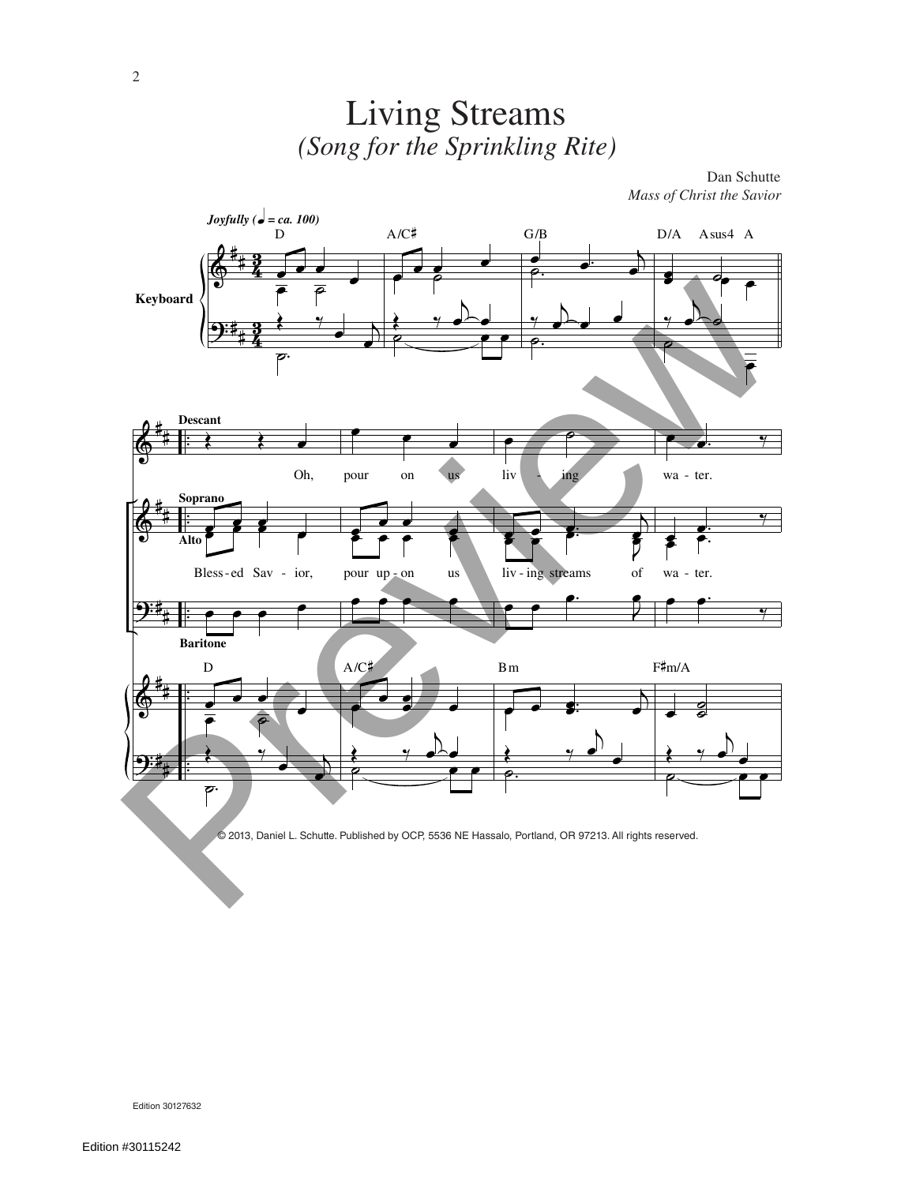

Living Streams

© 2013, Daniel L. Schutte. Published by OCP, 5536 NE Hassalo, Portland, OR 97213. All rights reserved.

Edition 30127632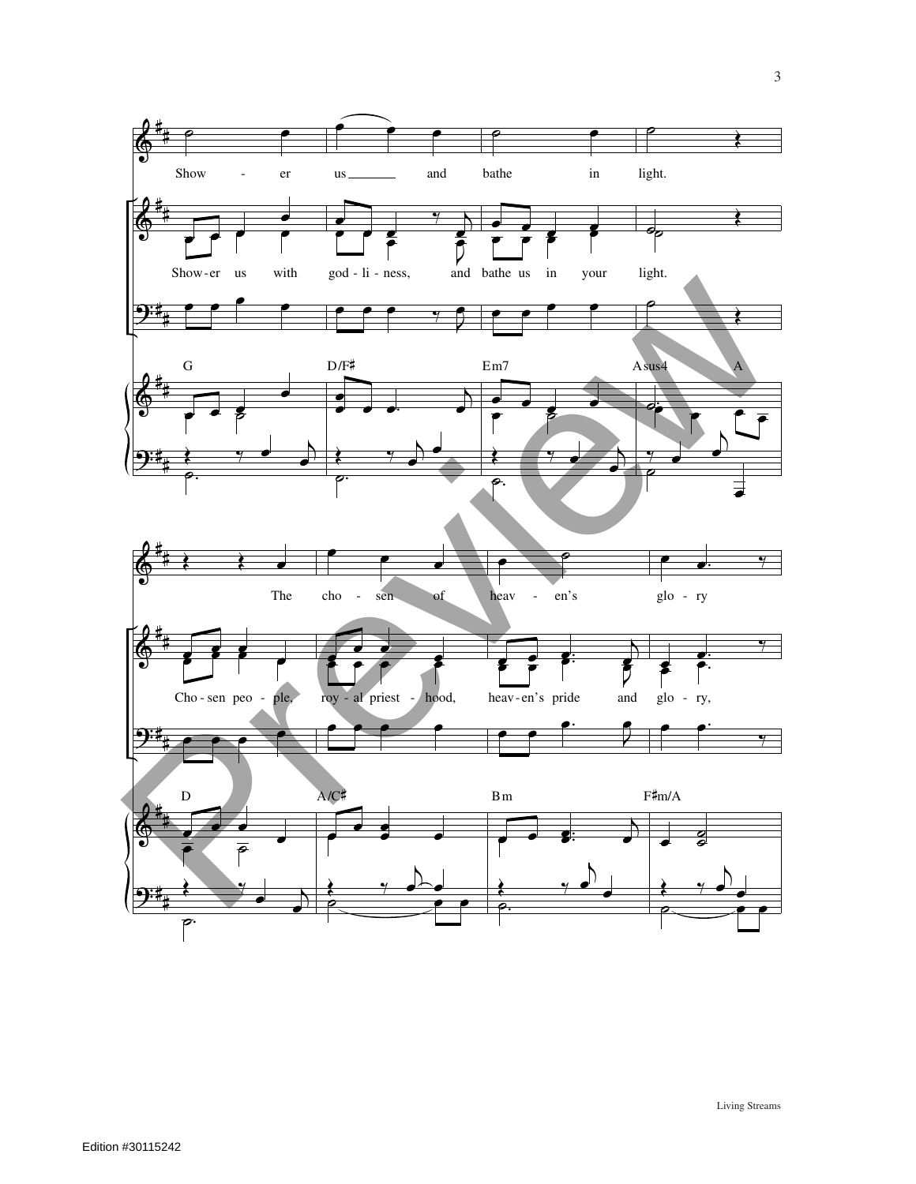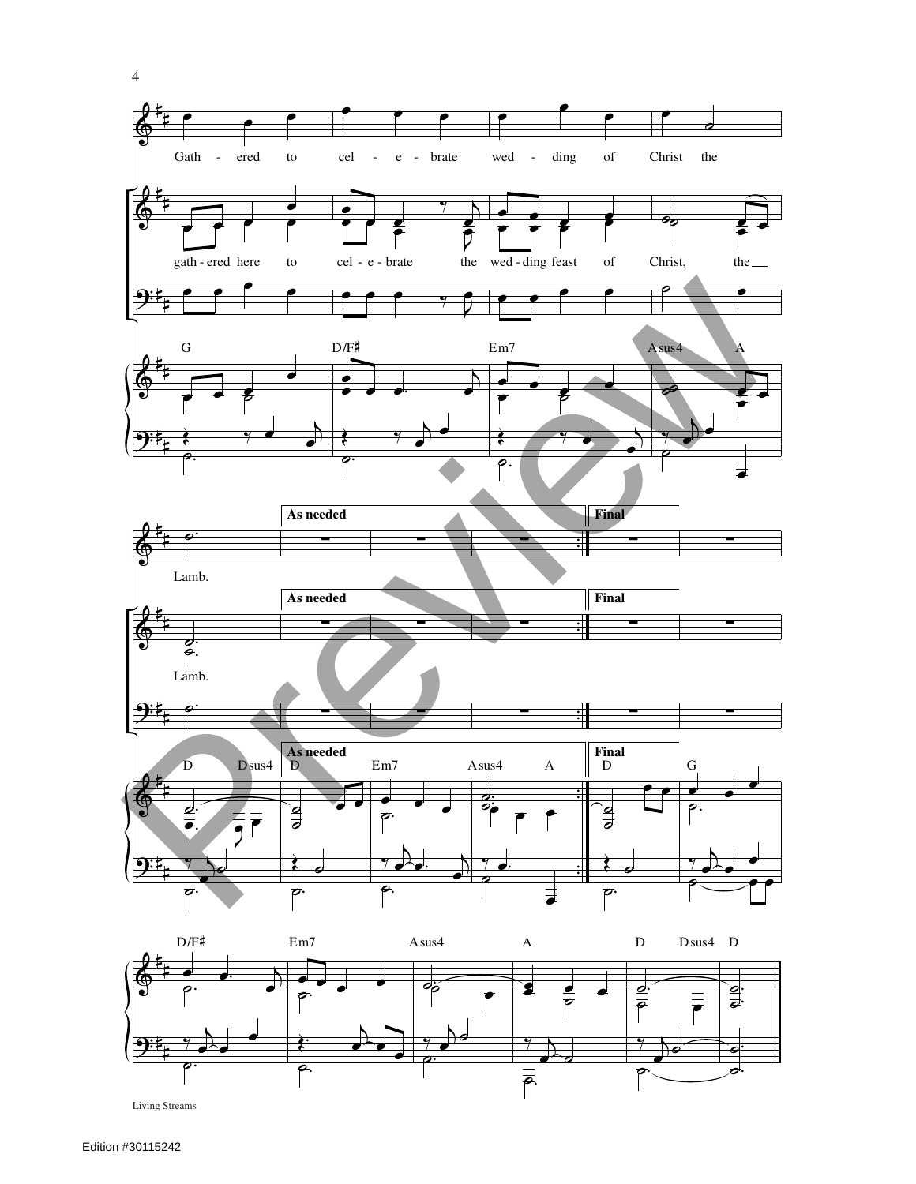

Living Streams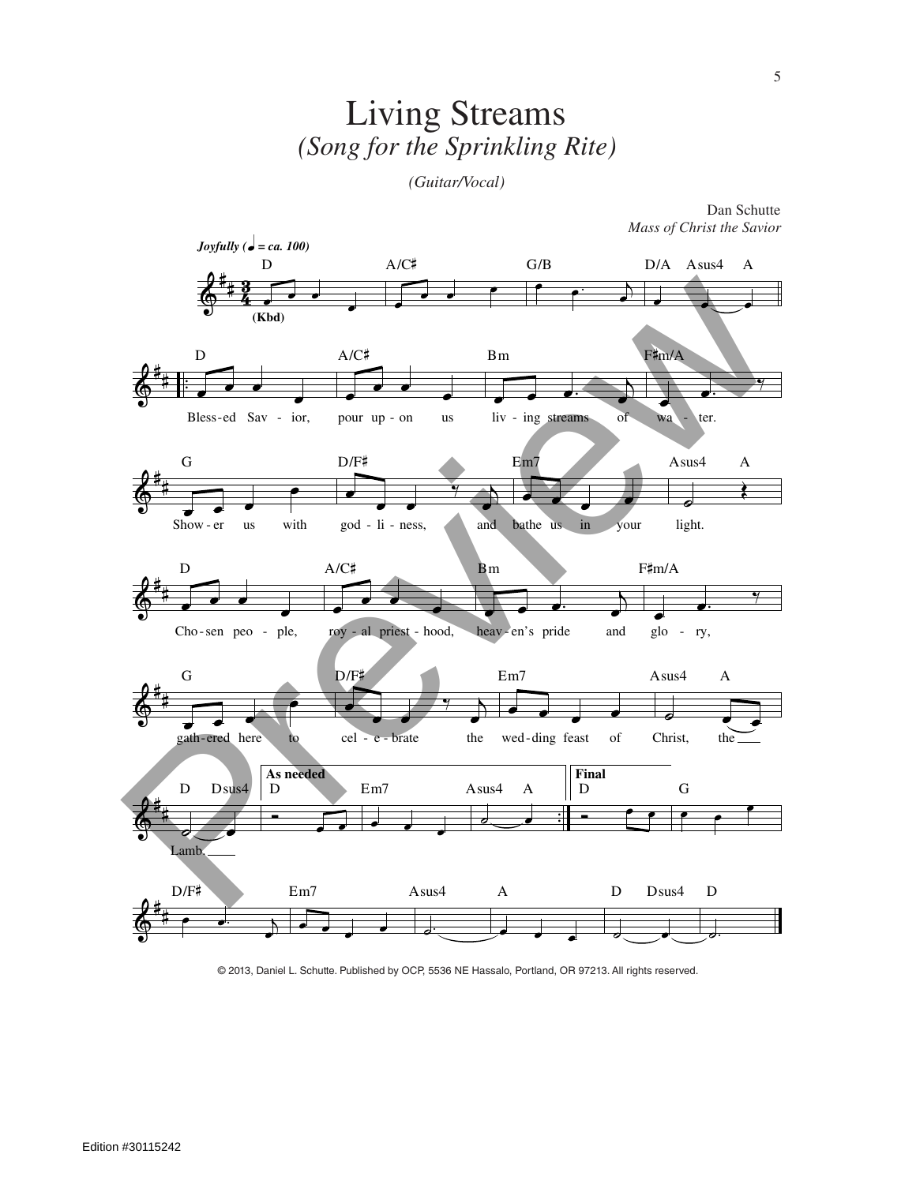## Living Streams *(Song for the Sprinkling Rite)*

*(Guitar/Vocal)*



Dan Schutte *Mass of Christ the Savior*

© 2013, Daniel L. Schutte. Published by OCP, 5536 NE Hassalo, Portland, OR 97213. All rights reserved.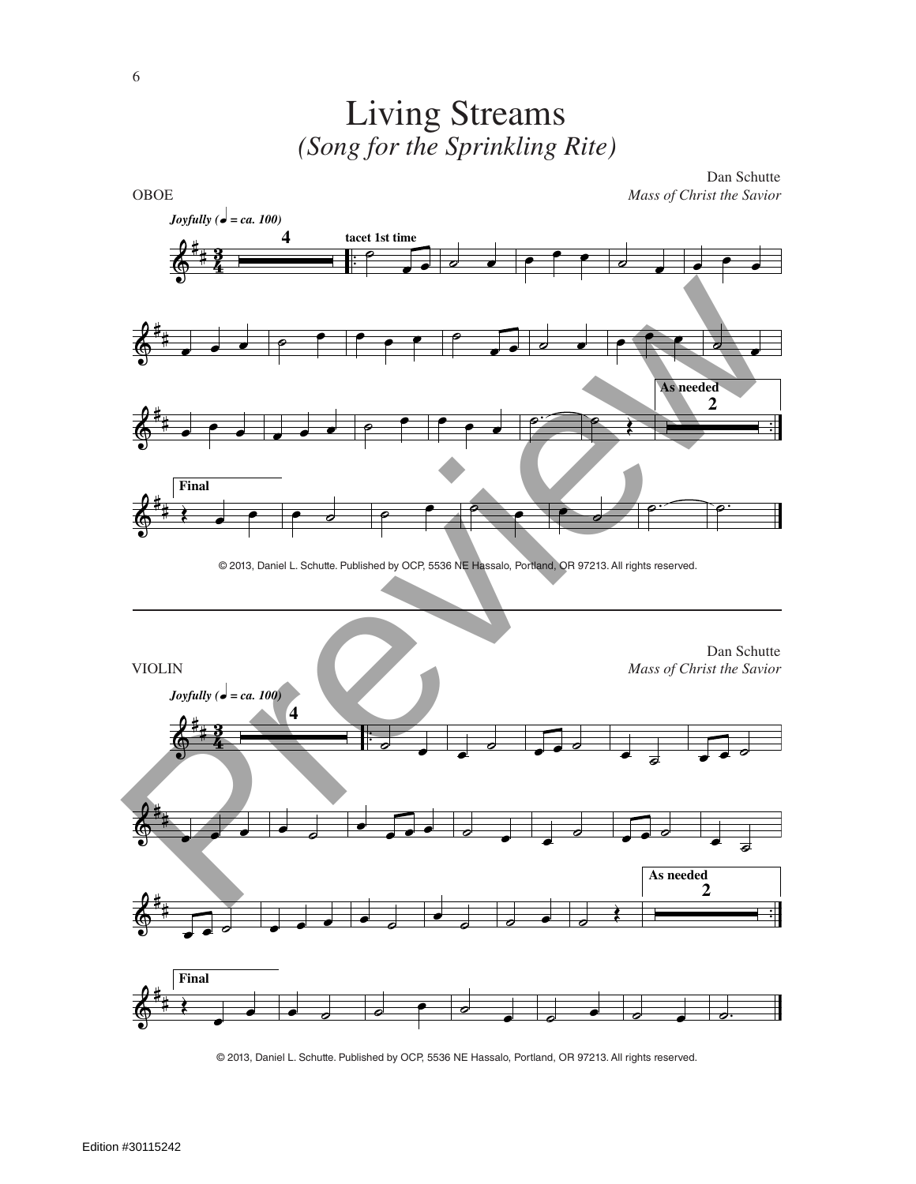

Living Streams

© 2013, Daniel L. Schutte. Published by OCP, 5536 NE Hassalo, Portland, OR 97213. All rights reserved.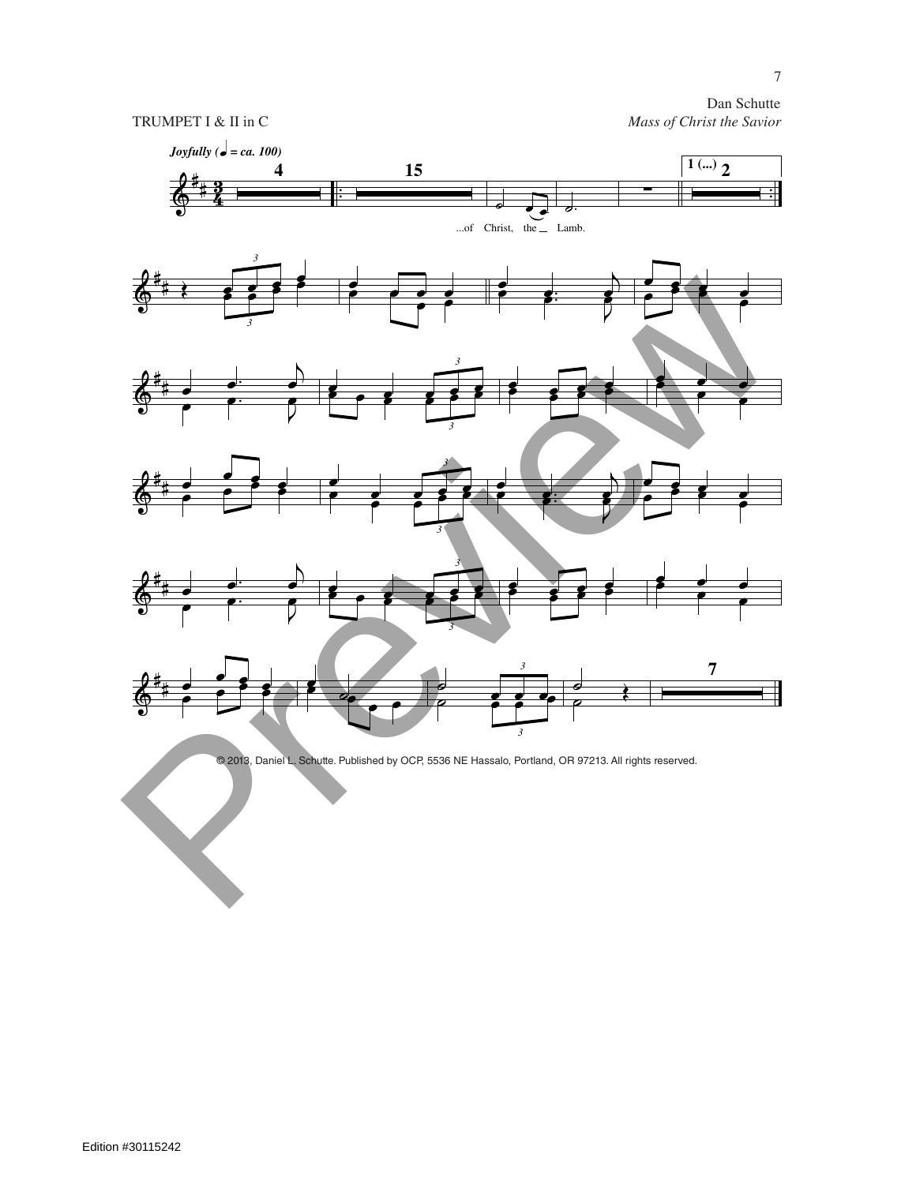